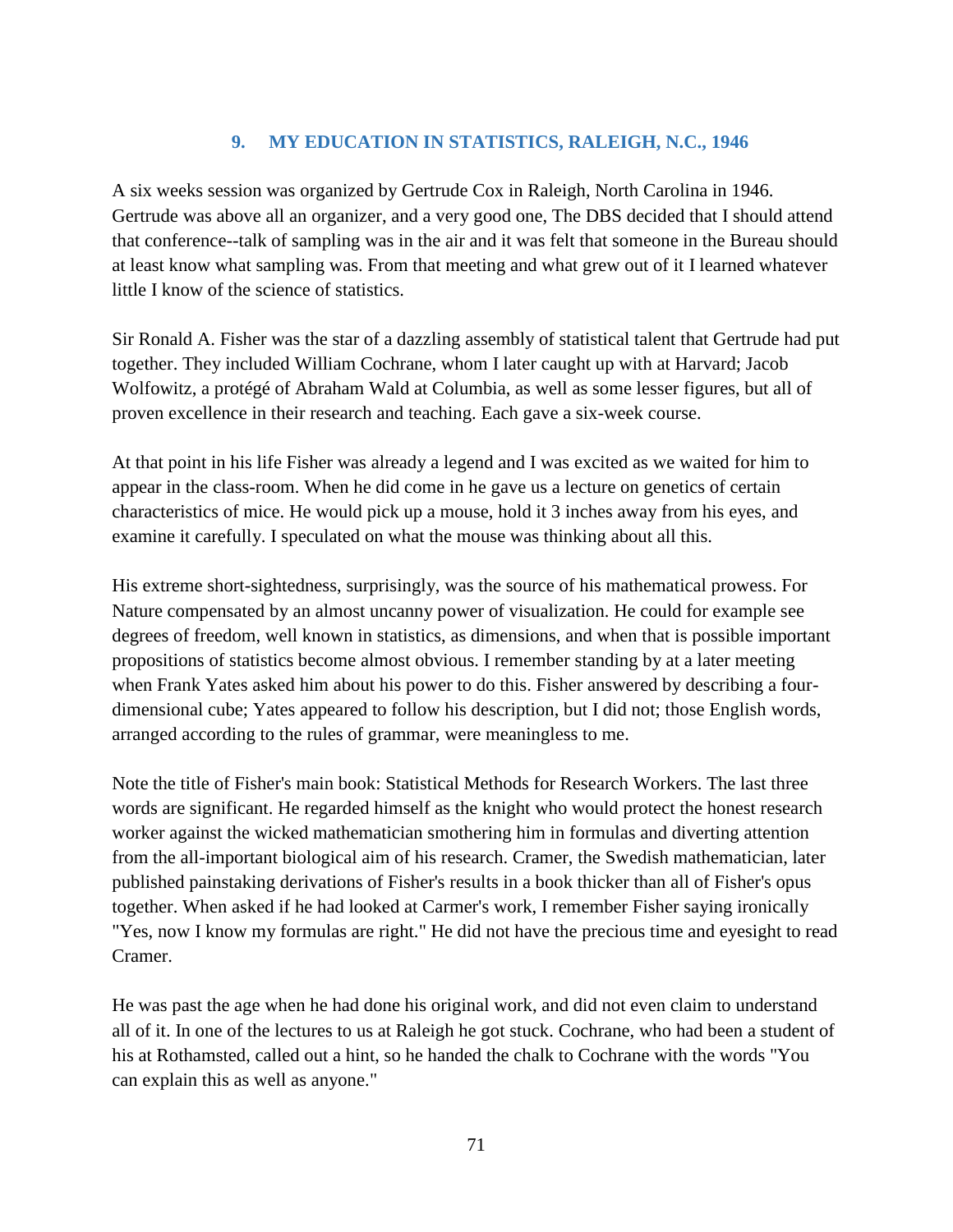## **9. MY EDUCATION IN STATISTICS, RALEIGH, N.C., 1946**

A six weeks session was organized by Gertrude Cox in Raleigh, North Carolina in 1946. Gertrude was above all an organizer, and a very good one, The DBS decided that I should attend that conference--talk of sampling was in the air and it was felt that someone in the Bureau should at least know what sampling was. From that meeting and what grew out of it I learned whatever little I know of the science of statistics.

Sir Ronald A. Fisher was the star of a dazzling assembly of statistical talent that Gertrude had put together. They included William Cochrane, whom I later caught up with at Harvard; Jacob Wolfowitz, a protégé of Abraham Wald at Columbia, as well as some lesser figures, but all of proven excellence in their research and teaching. Each gave a six-week course.

At that point in his life Fisher was already a legend and I was excited as we waited for him to appear in the class-room. When he did come in he gave us a lecture on genetics of certain characteristics of mice. He would pick up a mouse, hold it 3 inches away from his eyes, and examine it carefully. I speculated on what the mouse was thinking about all this.

His extreme short-sightedness, surprisingly, was the source of his mathematical prowess. For Nature compensated by an almost uncanny power of visualization. He could for example see degrees of freedom, well known in statistics, as dimensions, and when that is possible important propositions of statistics become almost obvious. I remember standing by at a later meeting when Frank Yates asked him about his power to do this. Fisher answered by describing a fourdimensional cube; Yates appeared to follow his description, but I did not; those English words, arranged according to the rules of grammar, were meaningless to me.

Note the title of Fisher's main book: Statistical Methods for Research Workers. The last three words are significant. He regarded himself as the knight who would protect the honest research worker against the wicked mathematician smothering him in formulas and diverting attention from the all-important biological aim of his research. Cramer, the Swedish mathematician, later published painstaking derivations of Fisher's results in a book thicker than all of Fisher's opus together. When asked if he had looked at Carmer's work, I remember Fisher saying ironically "Yes, now I know my formulas are right." He did not have the precious time and eyesight to read Cramer.

He was past the age when he had done his original work, and did not even claim to understand all of it. In one of the lectures to us at Raleigh he got stuck. Cochrane, who had been a student of his at Rothamsted, called out a hint, so he handed the chalk to Cochrane with the words "You can explain this as well as anyone."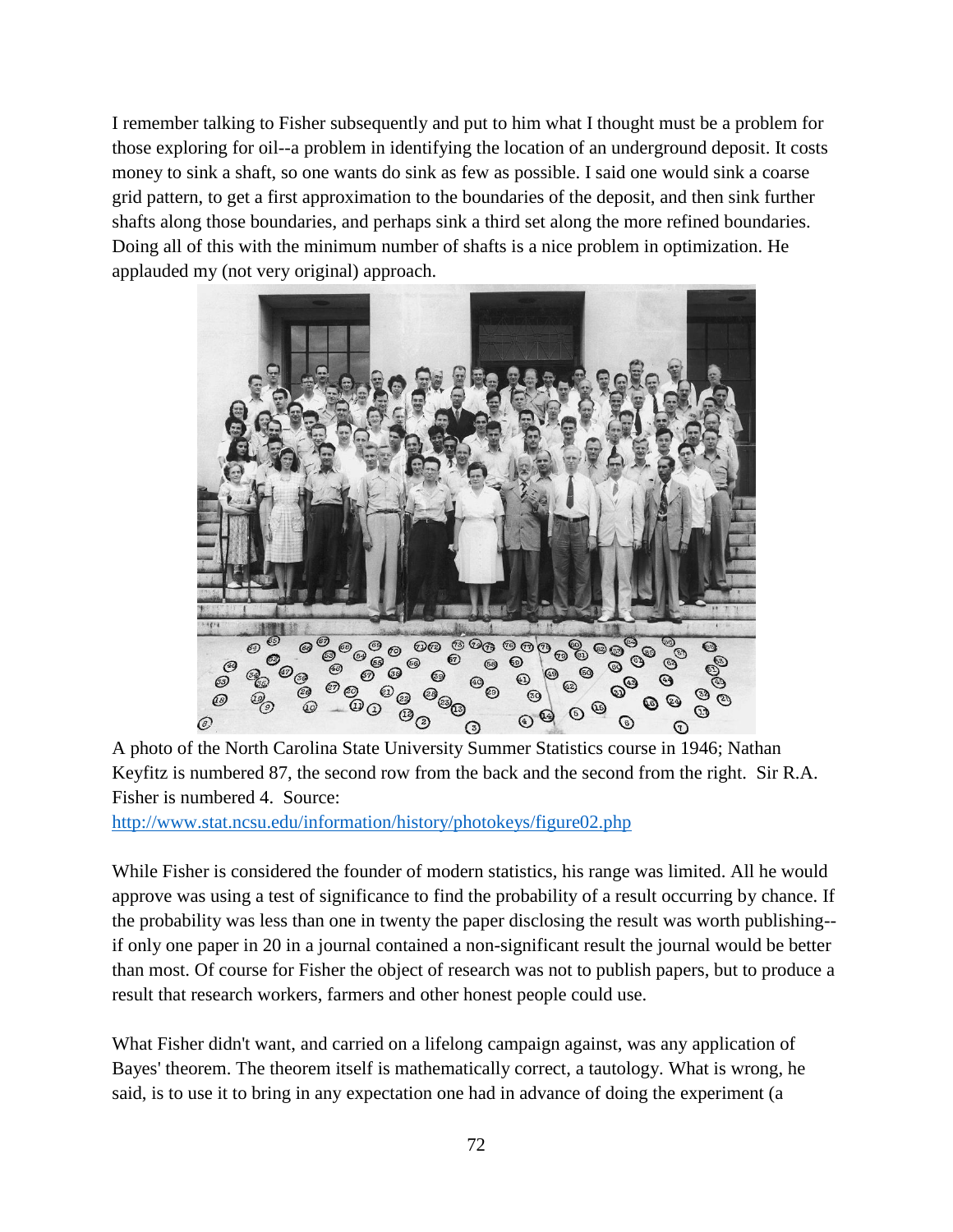I remember talking to Fisher subsequently and put to him what I thought must be a problem for those exploring for oil--a problem in identifying the location of an underground deposit. It costs money to sink a shaft, so one wants do sink as few as possible. I said one would sink a coarse grid pattern, to get a first approximation to the boundaries of the deposit, and then sink further shafts along those boundaries, and perhaps sink a third set along the more refined boundaries. Doing all of this with the minimum number of shafts is a nice problem in optimization. He applauded my (not very original) approach.



A photo of the North Carolina State University Summer Statistics course in 1946; Nathan Keyfitz is numbered 87, the second row from the back and the second from the right. Sir R.A. Fisher is numbered 4. Source:

<http://www.stat.ncsu.edu/information/history/photokeys/figure02.php>

While Fisher is considered the founder of modern statistics, his range was limited. All he would approve was using a test of significance to find the probability of a result occurring by chance. If the probability was less than one in twenty the paper disclosing the result was worth publishing- if only one paper in 20 in a journal contained a non-significant result the journal would be better than most. Of course for Fisher the object of research was not to publish papers, but to produce a result that research workers, farmers and other honest people could use.

What Fisher didn't want, and carried on a lifelong campaign against, was any application of Bayes' theorem. The theorem itself is mathematically correct, a tautology. What is wrong, he said, is to use it to bring in any expectation one had in advance of doing the experiment (a